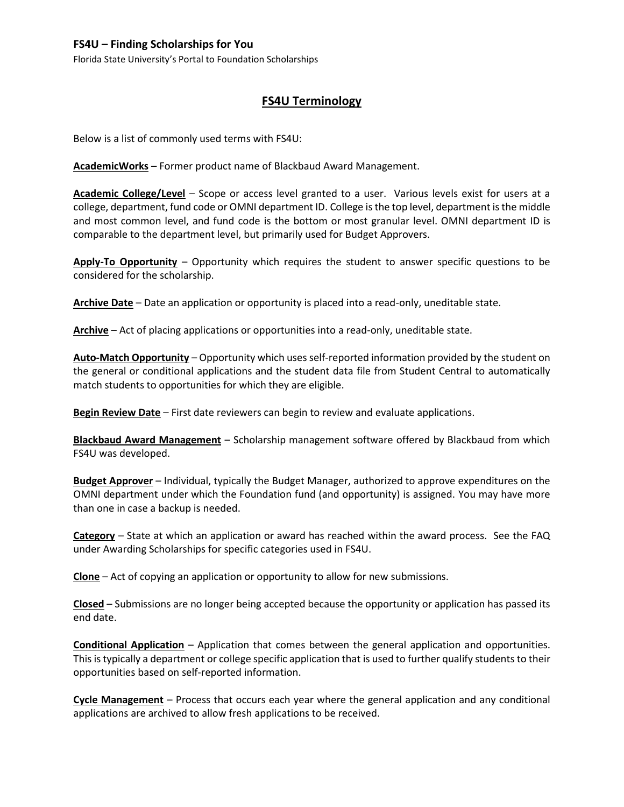## **FS4U – Finding Scholarships for You**

Florida State University's Portal to Foundation Scholarships

## **FS4U Terminology**

Below is a list of commonly used terms with FS4U:

**AcademicWorks** – Former product name of Blackbaud Award Management.

**Academic College/Level** – Scope or access level granted to a user. Various levels exist for users at a college, department, fund code or OMNI department ID. College is the top level, department is the middle and most common level, and fund code is the bottom or most granular level. OMNI department ID is comparable to the department level, but primarily used for Budget Approvers.

**Apply-To Opportunity** – Opportunity which requires the student to answer specific questions to be considered for the scholarship.

**Archive Date** – Date an application or opportunity is placed into a read-only, uneditable state.

**Archive** – Act of placing applications or opportunities into a read-only, uneditable state.

**Auto-Match Opportunity** – Opportunity which uses self-reported information provided by the student on the general or conditional applications and the student data file from Student Central to automatically match students to opportunities for which they are eligible.

**Begin Review Date** – First date reviewers can begin to review and evaluate applications.

**Blackbaud Award Management** – Scholarship management software offered by Blackbaud from which FS4U was developed.

**Budget Approver** – Individual, typically the Budget Manager, authorized to approve expenditures on the OMNI department under which the Foundation fund (and opportunity) is assigned. You may have more than one in case a backup is needed.

**Category** – State at which an application or award has reached within the award process. See the FAQ under Awarding Scholarships for specific categories used in FS4U.

**Clone** – Act of copying an application or opportunity to allow for new submissions.

**Closed** – Submissions are no longer being accepted because the opportunity or application has passed its end date.

**Conditional Application** – Application that comes between the general application and opportunities. This is typically a department or college specific application that is used to further qualify students to their opportunities based on self-reported information.

**Cycle Management** – Process that occurs each year where the general application and any conditional applications are archived to allow fresh applications to be received.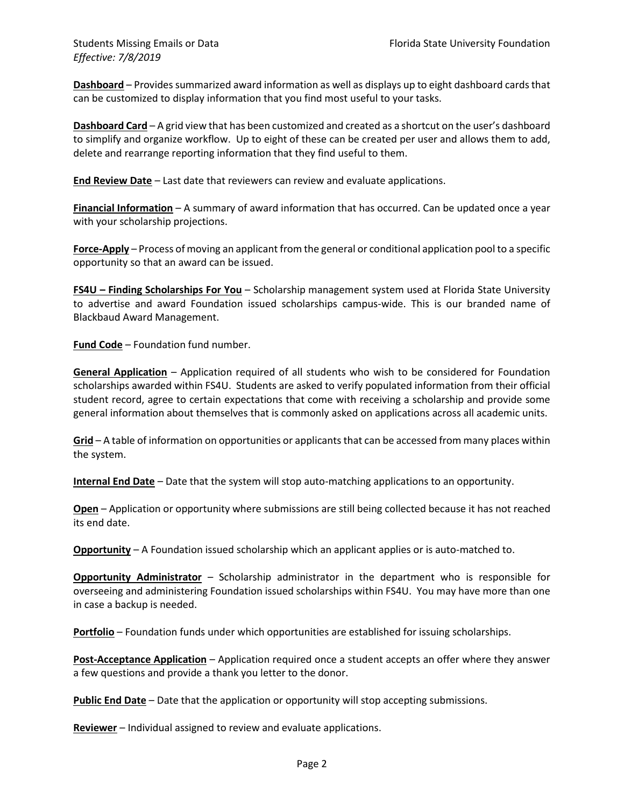**Dashboard** – Provides summarized award information as well as displays up to eight dashboard cards that can be customized to display information that you find most useful to your tasks.

**Dashboard Card** – A grid view that has been customized and created as a shortcut on the user's dashboard to simplify and organize workflow. Up to eight of these can be created per user and allows them to add, delete and rearrange reporting information that they find useful to them.

**End Review Date** – Last date that reviewers can review and evaluate applications.

**Financial Information** – A summary of award information that has occurred. Can be updated once a year with your scholarship projections.

**Force-Apply** – Process of moving an applicant from the general or conditional application pool to a specific opportunity so that an award can be issued.

**FS4U – Finding Scholarships For You** – Scholarship management system used at Florida State University to advertise and award Foundation issued scholarships campus-wide. This is our branded name of Blackbaud Award Management.

**Fund Code** – Foundation fund number.

**General Application** – Application required of all students who wish to be considered for Foundation scholarships awarded within FS4U. Students are asked to verify populated information from their official student record, agree to certain expectations that come with receiving a scholarship and provide some general information about themselves that is commonly asked on applications across all academic units.

**Grid** – A table of information on opportunities or applicants that can be accessed from many places within the system.

**Internal End Date** – Date that the system will stop auto-matching applications to an opportunity.

**Open** – Application or opportunity where submissions are still being collected because it has not reached its end date.

**Opportunity** – A Foundation issued scholarship which an applicant applies or is auto-matched to.

**Opportunity Administrator** – Scholarship administrator in the department who is responsible for overseeing and administering Foundation issued scholarships within FS4U. You may have more than one in case a backup is needed.

**Portfolio** – Foundation funds under which opportunities are established for issuing scholarships.

**Post-Acceptance Application** – Application required once a student accepts an offer where they answer a few questions and provide a thank you letter to the donor.

**Public End Date** – Date that the application or opportunity will stop accepting submissions.

**Reviewer** – Individual assigned to review and evaluate applications.